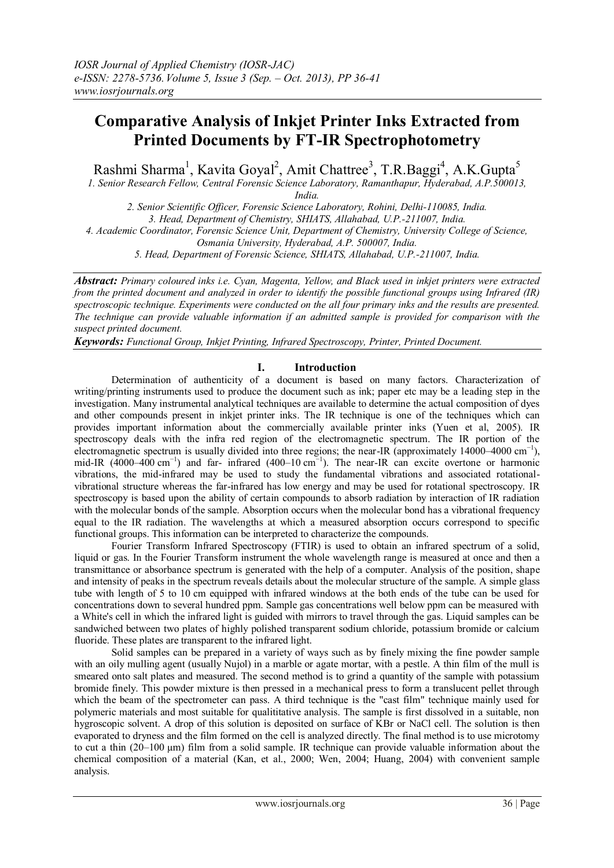# **Comparative Analysis of Inkjet Printer Inks Extracted from Printed Documents by FT-IR Spectrophotometry**

Rashmi Sharma<sup>1</sup>, Kavita Goyal<sup>2</sup>, Amit Chattree<sup>3</sup>, T.R.Baggi<sup>4</sup>, A.K.Gupta<sup>5</sup>

*1. Senior Research Fellow, Central Forensic Science Laboratory, Ramanthapur, Hyderabad, A.P.500013, India.*

*2. Senior Scientific Officer, Forensic Science Laboratory, Rohini, Delhi-110085, India. 3. Head, Department of Chemistry, SHIATS, Allahabad, U.P.-211007, India.*

*4. Academic Coordinator, Forensic Science Unit, Department of Chemistry, University College of Science,* 

*Osmania University, Hyderabad, A.P. 500007, India.*

*5. Head, Department of Forensic Science, SHIATS, Allahabad, U.P.-211007, India.*

*Abstract: Primary coloured inks i.e. Cyan, Magenta, Yellow, and Black used in inkjet printers were extracted from the printed document and analyzed in order to identify the possible functional groups using Infrared (IR) spectroscopic technique. Experiments were conducted on the all four primary inks and the results are presented. The technique can provide valuable information if an admitted sample is provided for comparison with the suspect printed document.*

*Keywords: Functional Group, Inkjet Printing, Infrared Spectroscopy, Printer, Printed Document.*

# **I. Introduction**

Determination of authenticity of a document is based on many factors. Characterization of writing/printing instruments used to produce the document such as ink; paper etc may be a leading step in the investigation. Many instrumental analytical techniques are available to determine the actual composition of dyes and other compounds present in inkjet printer inks. The IR technique is one of the techniques which can provides important information about the commercially available printer inks (Yuen et al, 2005). IR spectroscopy deals with the infra red region of the electromagnetic spectrum. The IR portion of the electromagnetic spectrum is usually divided into three regions; the near-IR (approximately 14000–4000 cm<sup>-1</sup>), mid-IR  $(4000-400 \text{ cm}^{-1})$  and far- infrared  $(400-10 \text{ cm}^{-1})$ . The near-IR can excite overtone or harmonic vibrations, the mid-infrared may be used to study the fundamental vibrations and associated rotationalvibrational structure whereas the far-infrared has low energy and may be used for rotational spectroscopy. IR spectroscopy is based upon the ability of certain compounds to absorb radiation by interaction of IR radiation with the molecular bonds of the sample. Absorption occurs when the molecular bond has a vibrational frequency equal to the IR radiation. The wavelengths at which a measured absorption occurs correspond to specific functional groups. This information can be interpreted to characterize the compounds.

Fourier Transform Infrared Spectroscopy (FTIR) is used to obtain an infrared spectrum of a solid, liquid or gas. In the Fourier Transform instrument the whole wavelength range is measured at once and then a [transmittance](https://en.wikipedia.org/wiki/Transmittance) or [absorbance](https://en.wikipedia.org/wiki/Absorbance) spectrum is generated with the help of a computer. Analysis of the position, shape and intensity of peaks in the spectrum reveals details about the molecular structure of the sample. A simple glass tube with length of 5 to 10 cm equipped with infrared windows at the both ends of the tube can be used for concentrations down to several hundred ppm. Sample gas concentrations well below ppm can be measured with a White's cell in which the infrared light is guided with mirrors to travel through the gas. Liquid samples can be sandwiched between two plates of highly polished transparent sodium chloride, potassium bromide or calcium fluoride. These plates are transparent to the infrared light.

Solid samples can be prepared in a variety of ways such as by finely mixing the fine powder sample with an oily mulling agent (usually Nujol) in a marble or agate mortar, with a pestle. A thin film of the mull is smeared onto salt plates and measured. The second method is to grind a quantity of the sample with potassium bromide finely. This powder mixture is then pressed in a mechanical press to form a translucent pellet through which the beam of the spectrometer can pass. A third technique is the "cast film" technique mainly used for polymeric materials and most suitable for qualititative analysis. The sample is first dissolved in a suitable, non hygroscopic solvent. A drop of this solution is deposited on surface of KBr or NaCl cell. The solution is then evaporated to dryness and the film formed on the cell is analyzed directly. The final method is to use microtomy to cut a thin (20–100 µm) film from a solid sample. IR technique can provide valuable information about the chemical composition of a material (Kan, et al., 2000; Wen, 2004; Huang, 2004) with convenient sample analysis.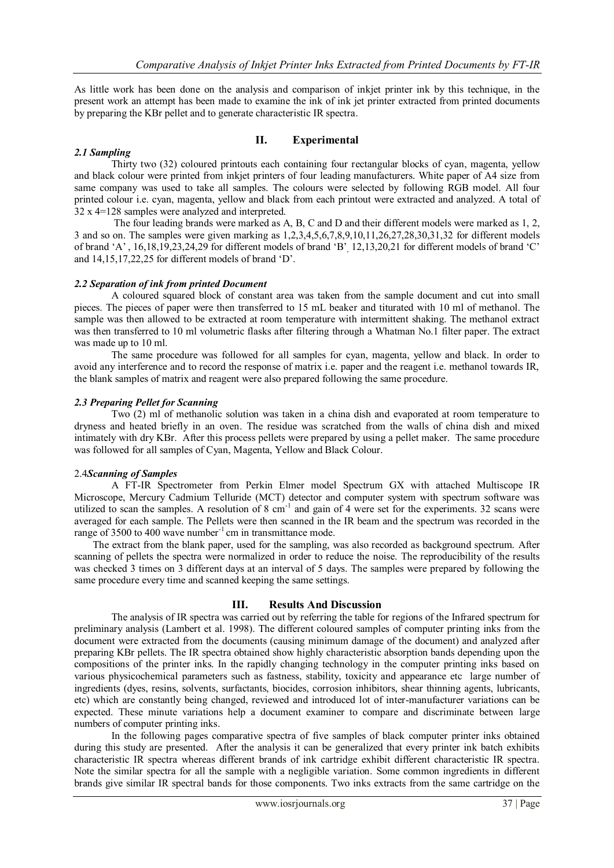As little work has been done on the analysis and comparison of inkjet printer ink by this technique, in the present work an attempt has been made to examine the ink of ink jet printer extracted from printed documents by preparing the KBr pellet and to generate characteristic IR spectra.

# **II. Experimental**

## *2.1 Sampling*

Thirty two (32) coloured printouts each containing four rectangular blocks of cyan, magenta, yellow and black colour were printed from inkjet printers of four leading manufacturers. White paper of A4 size from same company was used to take all samples. The colours were selected by following RGB model. All four printed colour i.e. cyan, magenta, yellow and black from each printout were extracted and analyzed. A total of 32 x 4=128 samples were analyzed and interpreted.

The four leading brands were marked as A, B, C and D and their different models were marked as 1, 2, 3 and so on. The samples were given marking as 1,2,3,4,5,6,7,8,9,10,11,26,27,28,30,31,32 for different models of brand 'A' , 16,18,19,23,24,29 for different models of brand 'B', 12,13,20,21 for different models of brand 'C' and 14,15,17,22,25 for different models of brand 'D'.

#### *2.2 Separation of ink from printed Document*

A coloured squared block of constant area was taken from the sample document and cut into small pieces. The pieces of paper were then transferred to 15 mL beaker and titurated with 10 ml of methanol. The sample was then allowed to be extracted at room temperature with intermittent shaking. The methanol extract was then transferred to 10 ml volumetric flasks after filtering through a Whatman No.1 filter paper. The extract was made up to 10 ml.

The same procedure was followed for all samples for cyan, magenta, yellow and black. In order to avoid any interference and to record the response of matrix i.e. paper and the reagent i.e. methanol towards IR, the blank samples of matrix and reagent were also prepared following the same procedure.

#### *2.3 Preparing Pellet for Scanning*

Two (2) ml of methanolic solution was taken in a china dish and evaporated at room temperature to dryness and heated briefly in an oven. The residue was scratched from the walls of china dish and mixed intimately with dry KBr. After this process pellets were prepared by using a pellet maker. The same procedure was followed for all samples of Cyan, Magenta, Yellow and Black Colour.

## 2.4*Scanning of Samples*

A FT-IR Spectrometer from Perkin Elmer model Spectrum GX with attached Multiscope IR Microscope, Mercury Cadmium Telluride (MCT) detector and computer system with spectrum software was utilized to scan the samples. A resolution of  $8 \text{ cm}^{-1}$  and gain of  $4$  were set for the experiments. 32 scans were averaged for each sample. The Pellets were then scanned in the IR beam and the spectrum was recorded in the range of 3500 to 400 wave number<sup>-1</sup> cm in transmittance mode.

The extract from the blank paper, used for the sampling, was also recorded as background spectrum. After scanning of pellets the spectra were normalized in order to reduce the noise. The reproducibility of the results was checked 3 times on 3 different days at an interval of 5 days. The samples were prepared by following the same procedure every time and scanned keeping the same settings.

## **III. Results And Discussion**

The analysis of IR spectra was carried out by referring the table for regions of the Infrared spectrum for preliminary analysis (Lambert et al. 1998). The different coloured samples of computer printing inks from the document were extracted from the documents (causing minimum damage of the document) and analyzed after preparing KBr pellets. The IR spectra obtained show highly characteristic absorption bands depending upon the compositions of the printer inks. In the rapidly changing technology in the computer printing inks based on various physicochemical parameters such as fastness, stability, toxicity and appearance etc large number of ingredients (dyes, resins, solvents, surfactants, biocides, corrosion inhibitors, shear thinning agents, lubricants, etc) which are constantly being changed, reviewed and introduced lot of inter-manufacturer variations can be expected. These minute variations help a document examiner to compare and discriminate between large numbers of computer printing inks.

In the following pages comparative spectra of five samples of black computer printer inks obtained during this study are presented. After the analysis it can be generalized that every printer ink batch exhibits characteristic IR spectra whereas different brands of ink cartridge exhibit different characteristic IR spectra. Note the similar spectra for all the sample with a negligible variation. Some common ingredients in different brands give similar IR spectral bands for those components. Two inks extracts from the same cartridge on the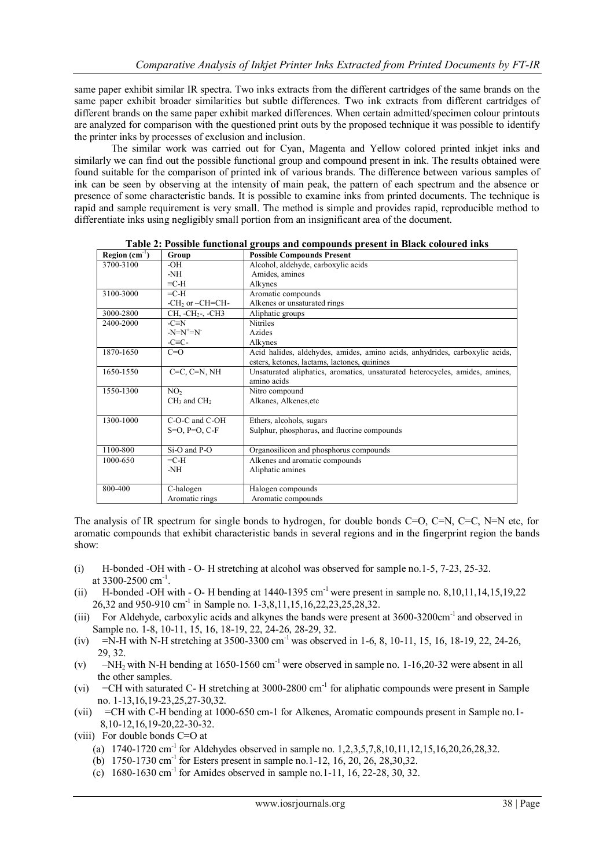same paper exhibit similar IR spectra. Two inks extracts from the different cartridges of the same brands on the same paper exhibit broader similarities but subtle differences. Two ink extracts from different cartridges of different brands on the same paper exhibit marked differences. When certain admitted/specimen colour printouts are analyzed for comparison with the questioned print outs by the proposed technique it was possible to identify the printer inks by processes of exclusion and inclusion.

The similar work was carried out for Cyan, Magenta and Yellow colored printed inkjet inks and similarly we can find out the possible functional group and compound present in ink. The results obtained were found suitable for the comparison of printed ink of various brands. The difference between various samples of ink can be seen by observing at the intensity of main peak, the pattern of each spectrum and the absence or presence of some characteristic bands. It is possible to examine inks from printed documents. The technique is rapid and sample requirement is very small. The method is simple and provides rapid, reproducible method to differentiate inks using negligibly small portion from an insignificant area of the document.

| Region $(cm-1)$ | Group               | <b>Possible Compounds Present</b>                                            |
|-----------------|---------------------|------------------------------------------------------------------------------|
| 3700-3100       | -OH                 | Alcohol, aldehyde, carboxylic acids                                          |
|                 | -NH                 | Amides, amines                                                               |
|                 | $\equiv$ C-H        | Alkynes                                                                      |
| 3100-3000       | $=$ C-H             | Aromatic compounds                                                           |
|                 | $-CH2$ or $-CH=CH-$ | Alkenes or unsaturated rings                                                 |
| 3000-2800       | $CH, -CH2$ -CH3     | Aliphatic groups                                                             |
| 2400-2000       | $-C \equiv N$       | <b>Nitriles</b>                                                              |
|                 | $-N=N^+ = N^-$      | Azides                                                                       |
|                 | $-C\equiv C$ -      | Alkynes                                                                      |
| 1870-1650       | $C=O$               | Acid halides, aldehydes, amides, amino acids, anhydrides, carboxylic acids,  |
|                 |                     | esters, ketones, lactams, lactones, quinines                                 |
| 1650-1550       | $C=C, C=N, NH$      | Unsaturated aliphatics, aromatics, unsaturated heterocycles, amides, amines, |
|                 |                     | amino acids                                                                  |
| 1550-1300       | NO <sub>2</sub>     | Nitro compound                                                               |
|                 | $CH3$ and $CH2$     | Alkanes, Alkenes, etc                                                        |
|                 |                     |                                                                              |
| 1300-1000       | C-O-C and C-OH      | Ethers, alcohols, sugars                                                     |
|                 | $S=O, P=O, C-F$     | Sulphur, phosphorus, and fluorine compounds                                  |
|                 |                     |                                                                              |
| 1100-800        | Si-O and P-O        | Organosilicon and phosphorus compounds                                       |
| 1000-650        | $=$ C-H             | Alkenes and aromatic compounds                                               |
|                 | -NH                 | Aliphatic amines                                                             |
|                 |                     |                                                                              |
| 800-400         | C-halogen           | Halogen compounds                                                            |
|                 | Aromatic rings      | Aromatic compounds                                                           |

**Table 2: Possible functional groups and compounds present in Black coloured inks**

The analysis of IR spectrum for single bonds to hydrogen, for double bonds  $C=O$ ,  $C=N$ ,  $C=C$ ,  $N=N$  etc, for aromatic compounds that exhibit characteristic bands in several regions and in the fingerprint region the bands show:

- (i) H-bonded -OH with O- H stretching at alcohol was observed for sample no.1-5, 7-23, 25-32. at 3300-2500 cm<sup>-1</sup>.
- (ii) H-bonded -OH with O- H bending at  $1440-1395$  cm<sup>-1</sup> were present in sample no. 8,10,11,14,15,19,22 26,32 and 950-910 cm<sup>-1</sup> in Sample no. 1-3,8,11,15,16,22,23,25,28,32.
- (iii) For Aldehyde, carboxylic acids and alkynes the bands were present at 3600-3200cm-1 and observed in Sample no. 1-8, 10-11, 15, 16, 18-19, 22, 24-26, 28-29, 32.
- (iv)  $=\dot{N}-H$  with N-H stretching at 3500-3300 cm<sup>-1</sup> was observed in 1-6, 8, 10-11, 15, 16, 18-19, 22, 24-26, 29, 32.
- (v) –NH<sub>2</sub> with N-H bending at 1650-1560 cm<sup>-1</sup> were observed in sample no. 1-16,20-32 were absent in all the other samples.
- (vi)  $=$  CH with saturated C- H stretching at 3000-2800 cm<sup>-1</sup> for aliphatic compounds were present in Sample no. 1-13,16,19-23,25,27-30,32.
- (vii) =CH with C-H bending at 1000-650 cm-1 for Alkenes, Aromatic compounds present in Sample no.1- 8,10-12,16,19-20,22-30-32.

(viii) For double bonds C=O at

- (a)  $1740-1720 \text{ cm}^{-1}$  for Aldehydes observed in sample no.  $1,2,3,5,7,8,10,11,12,15,16,20,26,28,32$ .
- (b) 1750-1730 cm<sup>-1</sup> for Esters present in sample no. 1-12, 16, 20, 26, 28, 30, 32.
- (c)  $1680-1630$  cm<sup>-1</sup> for Amides observed in sample no.1-11, 16, 22-28, 30, 32.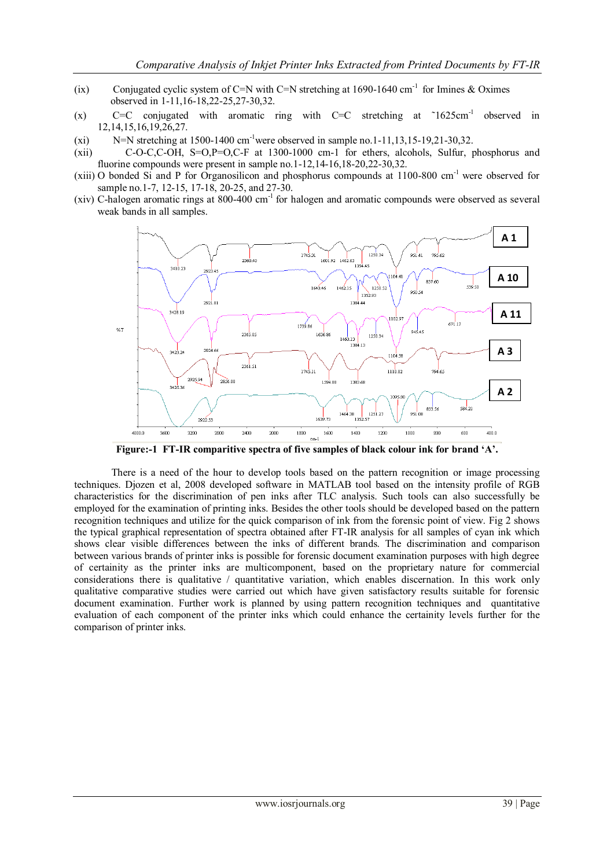- (ix) Conjugated cyclic system of C=N with C=N stretching at  $1690-1640$  cm<sup>-1</sup> for Imines & Oximes observed in 1-11,16-18,22-25,27-30,32.
- $(x)$  C=C conjugated with aromatic ring with C=C stretching at  $\sim 1625 \text{cm}^{-1}$ observed in 12,14,15,16,19,26,27.
- (xi) N=N stretching at  $1500-1400$  cm<sup>-1</sup>were observed in sample no.1-11,13,15-19,21-30,32.
- (xii) C-O-C,C-OH, S=O,P=O,C-F at 1300-1000 cm-1 for ethers, alcohols, Sulfur, phosphorus and fluorine compounds were present in sample no.1-12,14-16,18-20,22-30,32.
- (xiii) O bonded Si and P for Organosilicon and phosphorus compounds at 1100-800 cm-1 were observed for sample no.1-7, 12-15, 17-18, 20-25, and 27-30.
- (xiv) C-halogen aromatic rings at  $800-400$  cm<sup>-1</sup> for halogen and aromatic compounds were observed as several weak bands in all samples.



**Figure:-1 FT-IR comparitive spectra of five samples of black colour ink for brand 'A'.**

There is a need of the hour to develop tools based on the pattern recognition or image processing techniques. Djozen et al, 2008 developed software in MATLAB tool based on the intensity profile of RGB characteristics for the discrimination of pen inks after TLC analysis. Such tools can also successfully be employed for the examination of printing inks. Besides the other tools should be developed based on the pattern recognition techniques and utilize for the quick comparison of ink from the forensic point of view. Fig 2 shows the typical graphical representation of spectra obtained after FT-IR analysis for all samples of cyan ink which shows clear visible differences between the inks of different brands. The discrimination and comparison between various brands of printer inks is possible for forensic document examination purposes with high degree of certainity as the printer inks are multicomponent, based on the proprietary nature for commercial considerations there is qualitative / quantitative variation, which enables discernation. In this work only qualitative comparative studies were carried out which have given satisfactory results suitable for forensic document examination. Further work is planned by using pattern recognition techniques and quantitative evaluation of each component of the printer inks which could enhance the certainity levels further for the comparison of printer inks.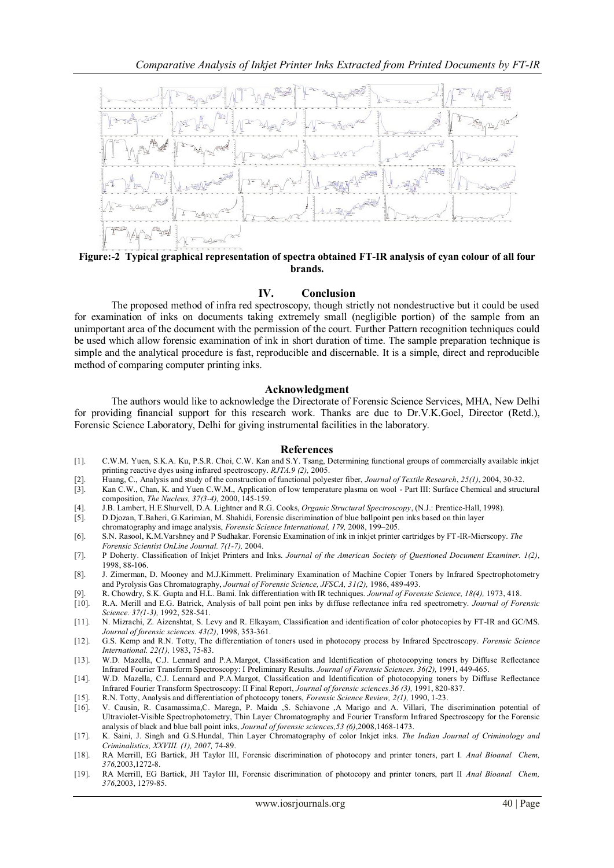

**Figure:-2 Typical graphical representation of spectra obtained FT-IR analysis of cyan colour of all four brands.**

# **IV. Conclusion**

The proposed method of infra red spectroscopy, though strictly not nondestructive but it could be used for examination of inks on documents taking extremely small (negligible portion) of the sample from an unimportant area of the document with the permission of the court. Further Pattern recognition techniques could be used which allow forensic examination of ink in short duration of time. The sample preparation technique is simple and the analytical procedure is fast, reproducible and discernable. It is a simple, direct and reproducible method of comparing computer printing inks.

#### **Acknowledgment**

The authors would like to acknowledge the Directorate of Forensic Science Services, MHA, New Delhi for providing financial support for this research work. Thanks are due to Dr.V.K.Goel, Director (Retd.), Forensic Science Laboratory, Delhi for giving instrumental facilities in the laboratory.

#### **References**

- [1]. C.W.M. Yuen, S.K.A. Ku, P.S.R. Choi, C.W. Kan and S.Y. Tsang, Determining functional groups of commercially available inkjet printing reactive dyes using infrared spectroscopy. *RJTA.9 (2),* 2005.
- [2]. Huang, C., Analysis and study of the construction of functional polyester fiber, *Journal of Textile Research*, *25(1)*, 2004, 30-32.
- Kan C.W., Chan, K. and Yuen C.W.M., Application of low temperature plasma on wool Part III: Surface Chemical and structural composition, *The Nucleus, 37(3-4),* 2000, 145-159.
- [4]. J.B. Lambert, H.E.Shurvell, D.A. Lightner and R.G. Cooks, *Organic Structural Spectroscopy*, (N.J.: Prentice-Hall, 1998).
- [5]. D.Djozan, T.Baheri, G.Karimian, M. Shahidi, Forensic discrimination of blue ballpoint pen inks based on thin layer
- chromatography and image analysis, *Forensic Science International, 179,* 2008, 199–205.
- [6]. S.N. Rasool, K.M.Varshney and P Sudhakar. Forensic Examination of ink in inkjet printer cartridges by FT-IR-Micrscopy. *The Forensic Scientist OnLine Journal. 7(1-7),* 2004.
- [7]. P Doherty. Classification of Inkjet Printers and Inks. *Journal of the American Society of Questioned Document Examiner. 1(2),* 1998, 88-106.
- [8]. J. Zimerman, D. Mooney and M.J.Kimmett. Preliminary Examination of Machine Copier Toners by Infrared Spectrophotometry and Pyrolysis Gas Chromatography, *Journal of Forensic Science, JFSCA, 31(2),* 1986, 489-493.
- [9]. R. Chowdry, S.K. Gupta and H.L. Bami. Ink differentiation with IR techniques. *Journal of Forensic Science, 18(4),* 1973, 418.
- [10]. R.A. Merill and E.G. Batrick, Analysis of ball point pen inks by diffuse reflectance infra red spectrometry. *Journal of Forensic Science. 37(1-3),* 1992, 528-541.
- [11]. N. Mizrachi, Z. Aizenshtat, S. Levy and R. Elkayam, Classification and identification of color photocopies by FT-IR and GC/MS. *Journal of forensic sciences. 43(2),* 1998, 353-361.
- [12]. G.S. Kemp and R.N. Totty, The differentiation of toners used in photocopy process by Infrared Spectroscopy. *Forensic Science International. 22(1),* 1983, 75-83.
- [13]. W.D. Mazella, C.J. Lennard and P.A.Margot, Classification and Identification of photocopying toners by Diffuse Reflectance Infrared Fourier Transform Spectroscopy: I Preliminary Results*. Journal of Forensic Sciences. 36(2),* 1991, 449-465.
- [14]. W.D. Mazella, C.J. Lennard and P.A.Margot, Classification and Identification of photocopying toners by Diffuse Reflectance Infrared Fourier Transform Spectroscopy: II Final Report, *Journal of forensic sciences.36 (3),* 1991, 820-837.
- [15]. R.N. Totty, Analysis and differentiation of photocopy toners, *Forensic Science Review, 2(1),* 1990, 1-23.
- [16]. V. Causin, R. Casamassima,C. Marega, P. Maida ,S. Schiavone ,A Marigo and A. Villari, The discrimination potential of Ultraviolet-Visible Spectrophotometry, Thin Layer Chromatography and Fourier Transform Infrared Spectroscopy for the Forensic analysis of black and blue ball point inks, *Journal of forensic sciences,53 (6)*,2008,1468-1473.
- [17]. K. Saini, J. Singh and G.S.Hundal, Thin Layer Chromatography of color Inkjet inks. *The Indian Journal of Criminology and Criminalistics, XXVIII. (1), 2007,* 74-89.
- [18]. RA Merrill, EG Bartick, JH Taylor III, Forensic discrimination of photocopy and printer toners, part I. *Anal Bioanal Chem, 376,*2003,1272-8.
- [19]. RA Merrill, EG Bartick, JH Taylor III, Forensic discrimination of photocopy and printer toners, part II *Anal Bioanal Chem, 376*,2003, 1279-85.